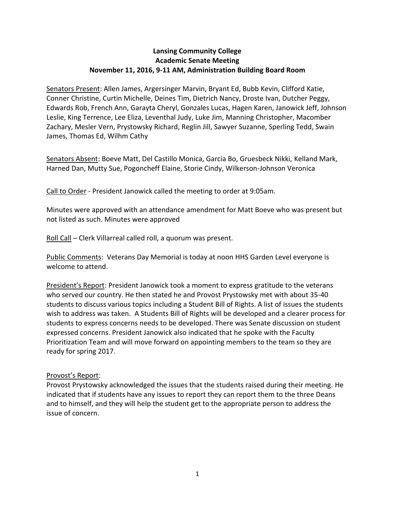## **Lansing Community College Academic Senate Meeting November 11, 2016, 9-11 AM, Administration Building Board Room**

Senators Present: Allen James, Argersinger Marvin, Bryant Ed, Bubb Kevin, Clifford Katie, Conner Christine, Curtin Michelle, Deines Tim, Dietrich Nancy, Droste Ivan, Dutcher Peggy, Edwards Rob, French Ann, Garayta Cheryl, Gonzales Lucas, Hagen Karen, Janowick Jeff, Johnson Leslie, King Terrence, Lee Eliza, Leventhal Judy, Luke Jim, Manning Christopher, Macomber Zachary, Mesler Vern, Prystowsky Richard, Reglin Jill, Sawyer Suzanne, Sperling Tedd, Swain James, Thomas Ed, Wilhm Cathy

Senators Absent: Boeve Matt, Del Castillo Monica, Garcia Bo, Gruesbeck Nikki, Kelland Mark, Harned Dan, Mutty Sue, Pogoncheff Elaine, Storie Cindy, Wilkerson-Johnson Veronica

Call to Order - President Janowick called the meeting to order at 9:05am.

Minutes were approved with an attendance amendment for Matt Boeve who was present but not listed as such. Minutes were approved

Roll Call – Clerk Villarreal called roll, a quorum was present.

Public Comments: Veterans Day Memorial is today at noon HHS Garden Level everyone is welcome to attend.

President's Report: President Janowick took a moment to express gratitude to the veterans who served our country. He then stated he and Provost Prystowsky met with about 35-40 students to discuss various topics including a Student Bill of Rights. A list of issues the students wish to address was taken. A Students Bill of Rights will be developed and a clearer process for students to express concerns needs to be developed. There was Senate discussion on student expressed concerns. President Janowick also indicated that he spoke with the Faculty Prioritization Team and will move forward on appointing members to the team so they are ready for spring 2017.

## Provost's Report:

Provost Prystowsky acknowledged the issues that the students raised during their meeting. He indicated that if students have any issues to report they can report them to the three Deans and to himself, and they will help the student get to the appropriate person to address the issue of concern.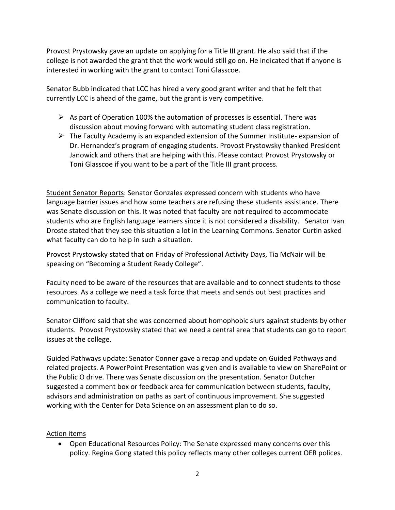Provost Prystowsky gave an update on applying for a Title III grant. He also said that if the college is not awarded the grant that the work would still go on. He indicated that if anyone is interested in working with the grant to contact Toni Glasscoe.

Senator Bubb indicated that LCC has hired a very good grant writer and that he felt that currently LCC is ahead of the game, but the grant is very competitive.

- $\triangleright$  As part of Operation 100% the automation of processes is essential. There was discussion about moving forward with automating student class registration.
- $\triangleright$  The Faculty Academy is an expanded extension of the Summer Institute- expansion of Dr. Hernandez's program of engaging students. Provost Prystowsky thanked President Janowick and others that are helping with this. Please contact Provost Prystowsky or Toni Glasscoe if you want to be a part of the Title III grant process.

Student Senator Reports: Senator Gonzales expressed concern with students who have language barrier issues and how some teachers are refusing these students assistance. There was Senate discussion on this. It was noted that faculty are not required to accommodate students who are English language learners since it is not considered a disability. Senator Ivan Droste stated that they see this situation a lot in the Learning Commons. Senator Curtin asked what faculty can do to help in such a situation.

Provost Prystowsky stated that on Friday of Professional Activity Days, Tia McNair will be speaking on "Becoming a Student Ready College".

Faculty need to be aware of the resources that are available and to connect students to those resources. As a college we need a task force that meets and sends out best practices and communication to faculty.

Senator Clifford said that she was concerned about homophobic slurs against students by other students. Provost Prystowsky stated that we need a central area that students can go to report issues at the college.

Guided Pathways update: Senator Conner gave a recap and update on Guided Pathways and related projects. A PowerPoint Presentation was given and is available to view on SharePoint or the Public O drive. There was Senate discussion on the presentation. Senator Dutcher suggested a comment box or feedback area for communication between students, faculty, advisors and administration on paths as part of continuous improvement. She suggested working with the Center for Data Science on an assessment plan to do so.

## Action items

 Open Educational Resources Policy: The Senate expressed many concerns over this policy. Regina Gong stated this policy reflects many other colleges current OER polices.